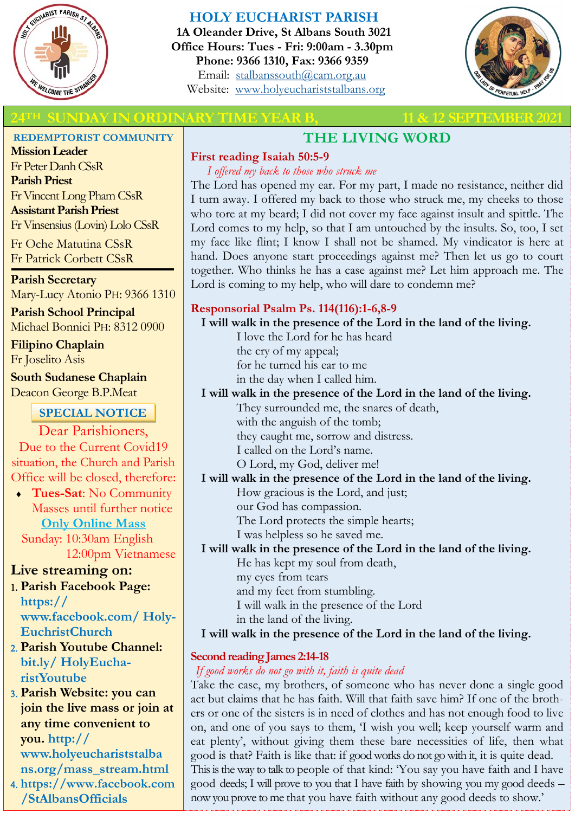

# **HOLY EUCHARIST PARISH**

**1A Oleander Drive, St Albans South 3021 Office Hours: Tues - Fri: 9:00am - 3.30pm Phone: 9366 1310, Fax: 9366 9359** Email: [stalbanssouth@cam.org.au](mailto:stalbanssouth@cam.org.au) Website:[www.holyeuchariststalbans.org](http://www.holyeuchariststalbans.org)



# **2021 THE SUNDAY IN ORDINARY TIME YEAR B, 12 SEPTEMBER 2021**

#### **REDEMPTORIST COMMUNITY**

**Mission Leader** Fr Peter Danh CSsR **Parish Priest** Fr Vincent Long Pham CSsR **Assistant Parish Priest**  Fr Vinsensius (Lovin) Lolo CSsR

Fr Oche Matutina CSsR Fr Patrick Corbett CSsR

**Parish Secretary** Mary-Lucy Atonio PH: 9366 1310

**Parish School Principal** Michael Bonnici PH: 8312 0900

**Filipino Chaplain** Fr Joselito Asis

**South Sudanese Chaplain** Deacon George B.P.Meat

# **SPECIAL NOTICE**

Dear Parishioners, Due to the Current Covid19 situation, the Church and Parish Office will be closed, therefore:

 **Tues-Sat**: No Community Masses until further notice **Only Online Mass** 

 Sunday: 10:30am English 12:00pm Vietnamese

# **Live streaming on:**

- **Parish Facebook Page: https:// www.facebook.com/ Holy-EuchristChurch**
- **Parish Youtube Channel: bit.ly/ HolyEucharistYoutube**
- **Parish Website: you can join the live mass or join at any time convenient to you. http:// www.holyeuchariststalba ns.org/mass\_stream.html**
- **https://www.facebook.com /StAlbansOfficials**

# **THE LIVING WORD**

# **First reading Isaiah 50:5-9**

*I offered my back to those who struck me*

The Lord has opened my ear. For my part, I made no resistance, neither did I turn away. I offered my back to those who struck me, my cheeks to those who tore at my beard; I did not cover my face against insult and spittle. The Lord comes to my help, so that I am untouched by the insults. So, too, I set my face like flint; I know I shall not be shamed. My vindicator is here at hand. Does anyone start proceedings against me? Then let us go to court together. Who thinks he has a case against me? Let him approach me. The Lord is coming to my help, who will dare to condemn me?

# **Responsorial Psalm Ps. 114(116):1-6,8-9**

#### **I will walk in the presence of the Lord in the land of the living.**

I love the Lord for he has heard

the cry of my appeal;

for he turned his ear to me

in the day when I called him.

# **I will walk in the presence of the Lord in the land of the living.**

They surrounded me, the snares of death,

with the anguish of the tomb;

they caught me, sorrow and distress.

I called on the Lord's name.

O Lord, my God, deliver me!

# **I will walk in the presence of the Lord in the land of the living.**

How gracious is the Lord, and just;

our God has compassion.

The Lord protects the simple hearts;

I was helpless so he saved me.

# **I will walk in the presence of the Lord in the land of the living.**

He has kept my soul from death,

my eyes from tears

and my feet from stumbling.

I will walk in the presence of the Lord

in the land of the living.

# **I will walk in the presence of the Lord in the land of the living.**

# **Second reading James 2:14-18**

# *If good works do not go with it, faith is quite dead*

Take the case, my brothers, of someone who has never done a single good act but claims that he has faith. Will that faith save him? If one of the brothers or one of the sisters is in need of clothes and has not enough food to live on, and one of you says to them, 'I wish you well; keep yourself warm and eat plenty', without giving them these bare necessities of life, then what good is that? Faith is like that: if good works do not go with it, it is quite dead. This is the way to talk to people of that kind: 'You say you have faith and I have good deeds; I will prove to you that I have faith by showing you my good deeds – now you prove to me that you have faith without any good deeds to show.'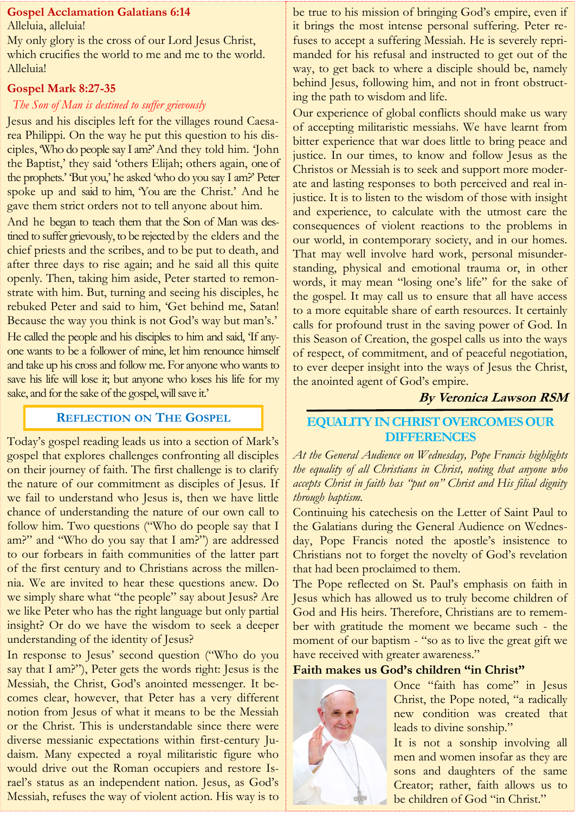### **Gospel Acclamation Galatians 6:14**

Alleluia, alleluia!

My only glory is the cross of our Lord Jesus Christ, which crucifies the world to me and me to the world. Alleluia!

#### **Gospel Mark 8:27-35**

#### *The Son of Man is destined to suffer grievously*

Jesus and his disciples left for the villages round Caesarea Philippi. On the way he put this question to his disciples, 'Who do people say I am?' And they told him. 'John the Baptist,' they said 'others Elijah; others again, one of the prophets.' 'But you,' he asked 'who do you say I am?' Peter spoke up and said to him, You are the Christ.' And he gave them strict orders not to tell anyone about him.

And he began to teach them that the Son of Man was destined to suffer grievously, to be rejected by the elders and the chief priests and the scribes, and to be put to death, and after three days to rise again; and he said all this quite openly. Then, taking him aside, Peter started to remonstrate with him. But, turning and seeing his disciples, he rebuked Peter and said to him, 'Get behind me, Satan! Because the way you think is not God's way but man's.' He called the people and his disciples to him and said, 'If anyone wants to be a follower of mine, let him renounce himself and take up his cross and follow me. For anyone who wants to save his life will lose it; but anyone who loses his life for my sake, and for the sake of the gospel, will save it.'

# **REFLECTION ON THE GOSPEL**

Today's gospel reading leads us into a section of Mark's gospel that explores challenges confronting all disciples on their journey of faith. The first challenge is to clarify the nature of our commitment as disciples of Jesus. If we fail to understand who Jesus is, then we have little chance of understanding the nature of our own call to follow him. Two questions ("Who do people say that I am?" and "Who do you say that I am?") are addressed to our forbears in faith communities of the latter part of the first century and to Christians across the millennia. We are invited to hear these questions anew. Do we simply share what "the people" say about Jesus? Are we like Peter who has the right language but only partial insight? Or do we have the wisdom to seek a deeper understanding of the identity of Jesus?

In response to Jesus' second question ("Who do you say that I am?"), Peter gets the words right: Jesus is the Messiah, the Christ, God's anointed messenger. It becomes clear, however, that Peter has a very different notion from Jesus of what it means to be the Messiah or the Christ. This is understandable since there were diverse messianic expectations within first-century Judaism. Many expected a royal militaristic figure who would drive out the Roman occupiers and restore Israel's status as an independent nation. Jesus, as God's Messiah, refuses the way of violent action. His way is to be true to his mission of bringing God's empire, even if it brings the most intense personal suffering. Peter refuses to accept a suffering Messiah. He is severely reprimanded for his refusal and instructed to get out of the way, to get back to where a disciple should be, namely behind Jesus, following him, and not in front obstructing the path to wisdom and life.

Our experience of global conflicts should make us wary of accepting militaristic messiahs. We have learnt from bitter experience that war does little to bring peace and justice. In our times, to know and follow Jesus as the Christos or Messiah is to seek and support more moderate and lasting responses to both perceived and real injustice. It is to listen to the wisdom of those with insight and experience, to calculate with the utmost care the consequences of violent reactions to the problems in our world, in contemporary society, and in our homes. That may well involve hard work, personal misunderstanding, physical and emotional trauma or, in other words, it may mean "losing one's life" for the sake of the gospel. It may call us to ensure that all have access to a more equitable share of earth resources. It certainly calls for profound trust in the saving power of God. In this Season of Creation, the gospel calls us into the ways of respect, of commitment, and of peaceful negotiation, to ever deeper insight into the ways of Jesus the Christ, the anointed agent of God's empire.

# **By Veronica Lawson RSM**

# **EQUALITY IN CHRIST OVERCOMES OUR DIFFERENCES**

*At the General Audience on Wednesday, Pope Francis highlights the equality of all Christians in Christ, noting that anyone who accepts Christ in faith has "put on" Christ and His filial dignity through baptism.*

Continuing his catechesis on the Letter of Saint Paul to the Galatians during the General Audience on Wednesday, Pope Francis noted the apostle's insistence to Christians not to forget the novelty of God's revelation that had been proclaimed to them.

The Pope reflected on St. Paul's emphasis on faith in Jesus which has allowed us to truly become children of God and His heirs. Therefore, Christians are to remember with gratitude the moment we became such - the moment of our baptism - "so as to live the great gift we have received with greater awareness."

# **Faith makes us God's children "in Christ"**



Once "faith has come" in Jesus Christ, the Pope noted, "a radically new condition was created that leads to divine sonship."

It is not a sonship involving all men and women insofar as they are sons and daughters of the same Creator; rather, faith allows us to be children of God "in Christ."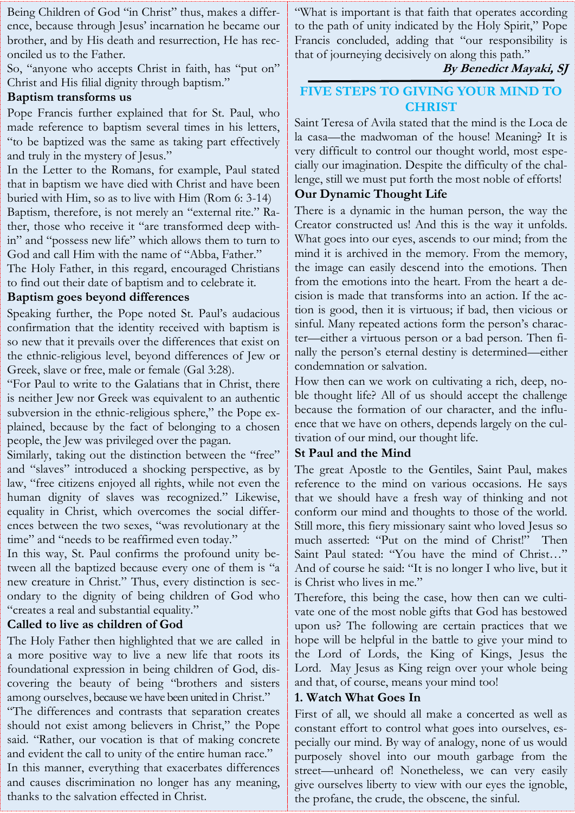Being Children of God "in Christ" thus, makes a difference, because through Jesus' incarnation he became our brother, and by His death and resurrection, He has reconciled us to the Father.

So, "anyone who accepts Christ in faith, has "put on" Christ and His filial dignity through baptism."

### **Baptism transforms us**

Pope Francis further explained that for St. Paul, who made reference to baptism several times in his letters, "to be baptized was the same as taking part effectively and truly in the mystery of Jesus."

In the Letter to the Romans, for example, Paul stated that in baptism we have died with Christ and have been buried with Him, so as to live with Him (Rom 6: 3-14) Baptism, therefore, is not merely an "external rite." Rather, those who receive it "are transformed deep within" and "possess new life" which allows them to turn to God and call Him with the name of "Abba, Father."

The Holy Father, in this regard, encouraged Christians to find out their date of baptism and to celebrate it.

# **Baptism goes beyond differences**

Speaking further, the Pope noted St. Paul's audacious confirmation that the identity received with baptism is so new that it prevails over the differences that exist on the ethnic-religious level, beyond differences of Jew or Greek, slave or free, male or female (Gal 3:28).

"For Paul to write to the Galatians that in Christ, there is neither Jew nor Greek was equivalent to an authentic subversion in the ethnic-religious sphere," the Pope explained, because by the fact of belonging to a chosen people, the Jew was privileged over the pagan.

Similarly, taking out the distinction between the "free" and "slaves" introduced a shocking perspective, as by law, "free citizens enjoyed all rights, while not even the human dignity of slaves was recognized." Likewise, equality in Christ, which overcomes the social differences between the two sexes, "was revolutionary at the time" and "needs to be reaffirmed even today."

In this way, St. Paul confirms the profound unity between all the baptized because every one of them is "a new creature in Christ." Thus, every distinction is secondary to the dignity of being children of God who "creates a real and substantial equality."

# **Called to live as children of God**

The Holy Father then highlighted that we are called in a more positive way to live a new life that roots its foundational expression in being children of God, discovering the beauty of being "brothers and sisters among ourselves, because we have been united in Christ."

"The differences and contrasts that separation creates should not exist among believers in Christ," the Pope said. "Rather, our vocation is that of making concrete and evident the call to unity of the entire human race." In this manner, everything that exacerbates differences

and causes discrimination no longer has any meaning, thanks to the salvation effected in Christ.

"What is important is that faith that operates according to the path of unity indicated by the Holy Spirit," Pope Francis concluded, adding that "our responsibility is that of journeying decisively on along this path."

# **By Benedict Mayaki, SJ**

# **FIVE STEPS TO GIVING YOUR MIND TO CHRIST**

Saint Teresa of Avila stated that the mind is the Loca de la casa—the madwoman of the house! Meaning? It is very difficult to control our thought world, most especially our imagination. Despite the difficulty of the challenge, still we must put forth the most noble of efforts!

# **Our Dynamic Thought Life**

There is a dynamic in the human person, the way the Creator constructed us! And this is the way it unfolds. What goes into our eyes, ascends to our mind; from the mind it is archived in the memory. From the memory, the image can easily descend into the emotions. Then from the emotions into the heart. From the heart a decision is made that transforms into an action. If the action is good, then it is virtuous; if bad, then vicious or sinful. Many repeated actions form the person's character—either a virtuous person or a bad person. Then finally the person's eternal destiny is determined—either condemnation or salvation.

How then can we work on cultivating a rich, deep, noble thought life? All of us should accept the challenge because the formation of our character, and the influence that we have on others, depends largely on the cultivation of our mind, our thought life.

# **St Paul and the Mind**

The great Apostle to the Gentiles, Saint Paul, makes reference to the mind on various occasions. He says that we should have a fresh way of thinking and not conform our mind and thoughts to those of the world. Still more, this fiery missionary saint who loved Jesus so much asserted: "Put on the mind of Christ!" Then Saint Paul stated: "You have the mind of Christ…" And of course he said: "It is no longer I who live, but it is Christ who lives in me."

Therefore, this being the case, how then can we cultivate one of the most noble gifts that God has bestowed upon us? The following are certain practices that we hope will be helpful in the battle to give your mind to the Lord of Lords, the King of Kings, Jesus the Lord. May Jesus as King reign over your whole being and that, of course, means your mind too!

# **1. Watch What Goes In**

First of all, we should all make a concerted as well as constant effort to control what goes into ourselves, especially our mind. By way of analogy, none of us would purposely shovel into our mouth garbage from the street—unheard of! Nonetheless, we can very easily give ourselves liberty to view with our eyes the ignoble, the profane, the crude, the obscene, the sinful.